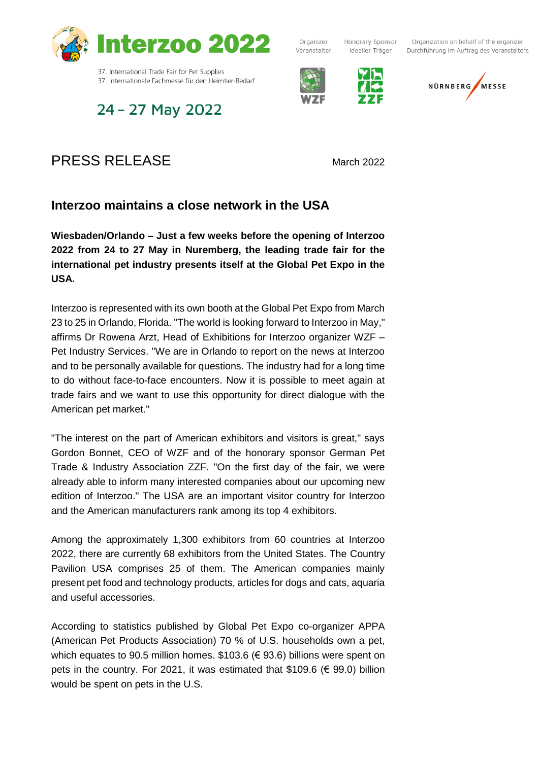

24 - 27 May 2022

37. Internationale Fachmesse für den Heimtier-Bedarf

## PRESS RELEASE March 2022

### **Interzoo maintains a close network in the USA**

**Wiesbaden/Orlando – Just a few weeks before the opening of Interzoo 2022 from 24 to 27 May in Nuremberg, the leading trade fair for the international pet industry presents itself at the Global Pet Expo in the USA.**

Interzoo is represented with its own booth at the Global Pet Expo from March 23 to 25 in Orlando, Florida. "The world is looking forward to Interzoo in May," affirms Dr Rowena Arzt, Head of Exhibitions for Interzoo organizer WZF – Pet Industry Services. "We are in Orlando to report on the news at Interzoo and to be personally available for questions. The industry had for a long time to do without face-to-face encounters. Now it is possible to meet again at trade fairs and we want to use this opportunity for direct dialogue with the American pet market."

"The interest on the part of American exhibitors and visitors is great," says Gordon Bonnet, CEO of WZF and of the honorary sponsor German Pet Trade & Industry Association ZZF. "On the first day of the fair, we were already able to inform many interested companies about our upcoming new edition of Interzoo." The USA are an important visitor country for Interzoo and the American manufacturers rank among its top 4 exhibitors.

Among the approximately 1,300 exhibitors from 60 countries at Interzoo 2022, there are currently 68 exhibitors from the United States. The Country Pavilion USA comprises 25 of them. The American companies mainly present pet food and technology products, articles for dogs and cats, aquaria and useful accessories.

According to statistics published by Global Pet Expo co-organizer APPA (American Pet Products Association) 70 % of U.S. households own a pet, which equates to 90.5 million homes. \$103.6 (€ 93.6) billions were spent on pets in the country. For 2021, it was estimated that \$109.6 ( $\in$  99.0) billion would be spent on pets in the U.S.



Organization on behalf of the organizer Durchführung im Auftrag des Veranstalters



Organizer

Veranstalter

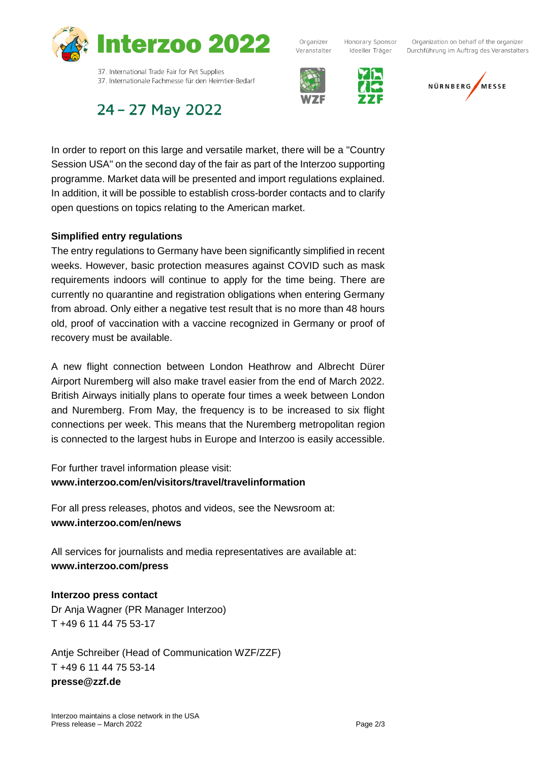

Organizer Veranstalter

Honorary Sponsor Ideeller Träger



Organization on behalf of the organizer Durchführung im Auftrag des Veranstalters



37. Internationale Fachmesse für den Heimtier-Bedarf

# 24 - 27 May 2022

In order to report on this large and versatile market, there will be a "Country Session USA" on the second day of the fair as part of the Interzoo supporting programme. Market data will be presented and import regulations explained. In addition, it will be possible to establish cross-border contacts and to clarify open questions on topics relating to the American market.

#### **Simplified entry regulations**

The entry regulations to Germany have been significantly simplified in recent weeks. However, basic protection measures against COVID such as mask requirements indoors will continue to apply for the time being. There are currently no quarantine and registration obligations when entering Germany from abroad. Only either a negative test result that is no more than 48 hours old, proof of vaccination with a vaccine recognized in Germany or proof of recovery must be available.

A new flight connection between London Heathrow and Albrecht Dürer Airport Nuremberg will also make travel easier from the end of March 2022. British Airways initially plans to operate four times a week between London and Nuremberg. From May, the frequency is to be increased to six flight connections per week. This means that the Nuremberg metropolitan region is connected to the largest hubs in Europe and Interzoo is easily accessible.

For further travel information please visit: **[www.interzoo.com/en/visitors/travel/travelinformation](https://www.interzoo.com/en/visitors/travel/travelinformation)**

For all press releases, photos and videos, see the Newsroom at: **www.interzoo.com/en/news**

All services for journalists and media representatives are available at: **www.interzoo.com/press**

### **Interzoo press contact**

Dr Anja Wagner (PR Manager Interzoo) T +49 6 11 44 75 53-17

Antje Schreiber (Head of Communication WZF/ZZF) T +49 6 11 44 75 53-14 **presse@zzf.de**